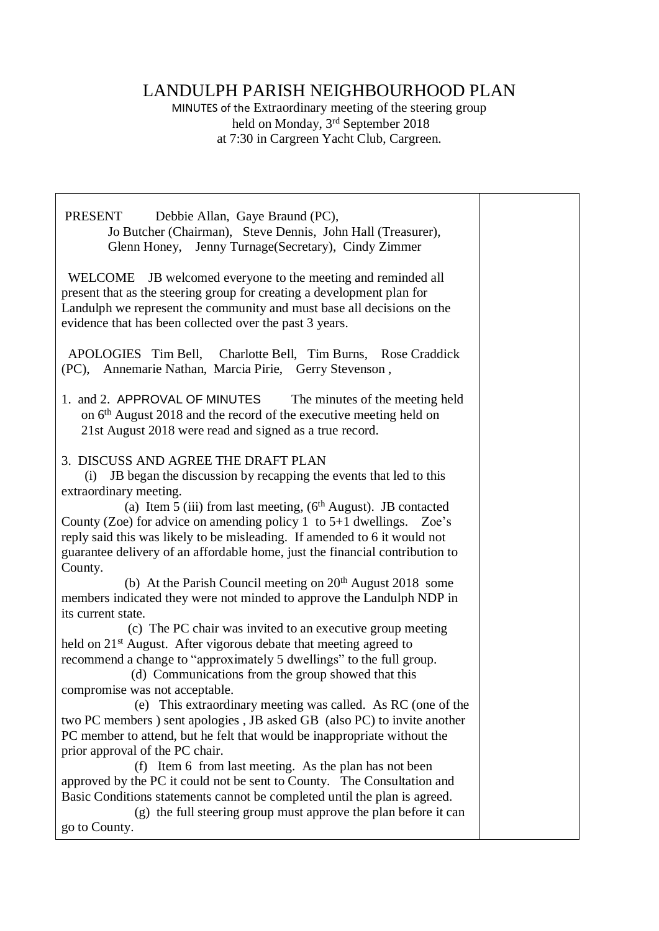## LANDULPH PARISH NEIGHBOURHOOD PLAN

MINUTES of the Extraordinary meeting of the steering group held on Monday, 3rd September 2018 at 7:30 in Cargreen Yacht Club, Cargreen.

PRESENT Debbie Allan, Gaye Braund (PC), Jo Butcher (Chairman), Steve Dennis, John Hall (Treasurer), Glenn Honey, Jenny Turnage(Secretary), Cindy Zimmer

 WELCOME JB welcomed everyone to the meeting and reminded all present that as the steering group for creating a development plan for Landulph we represent the community and must base all decisions on the evidence that has been collected over the past 3 years.

 APOLOGIES Tim Bell, Charlotte Bell, Tim Burns, Rose Craddick (PC), Annemarie Nathan, Marcia Pirie, Gerry Stevenson ,

1. and 2. APPROVAL OF MINUTES The minutes of the meeting held on 6<sup>th</sup> August 2018 and the record of the executive meeting held on 21st August 2018 were read and signed as a true record.

## 3. DISCUSS AND AGREE THE DRAFT PLAN

 (i) JB began the discussion by recapping the events that led to this extraordinary meeting.

(a) Item 5 (iii) from last meeting,  $(6<sup>th</sup> August)$ . JB contacted County (Zoe) for advice on amending policy 1 to  $5+1$  dwellings. Zoe's reply said this was likely to be misleading. If amended to 6 it would not guarantee delivery of an affordable home, just the financial contribution to County.

(b) At the Parish Council meeting on  $20<sup>th</sup>$  August 2018 some members indicated they were not minded to approve the Landulph NDP in its current state.

 (c) The PC chair was invited to an executive group meeting held on 21<sup>st</sup> August. After vigorous debate that meeting agreed to recommend a change to "approximately 5 dwellings" to the full group.

 (d) Communications from the group showed that this compromise was not acceptable.

 (e) This extraordinary meeting was called. As RC (one of the two PC members ) sent apologies , JB asked GB (also PC) to invite another PC member to attend, but he felt that would be inappropriate without the prior approval of the PC chair.

 (f) Item 6 from last meeting. As the plan has not been approved by the PC it could not be sent to County. The Consultation and Basic Conditions statements cannot be completed until the plan is agreed.

 (g) the full steering group must approve the plan before it can go to County.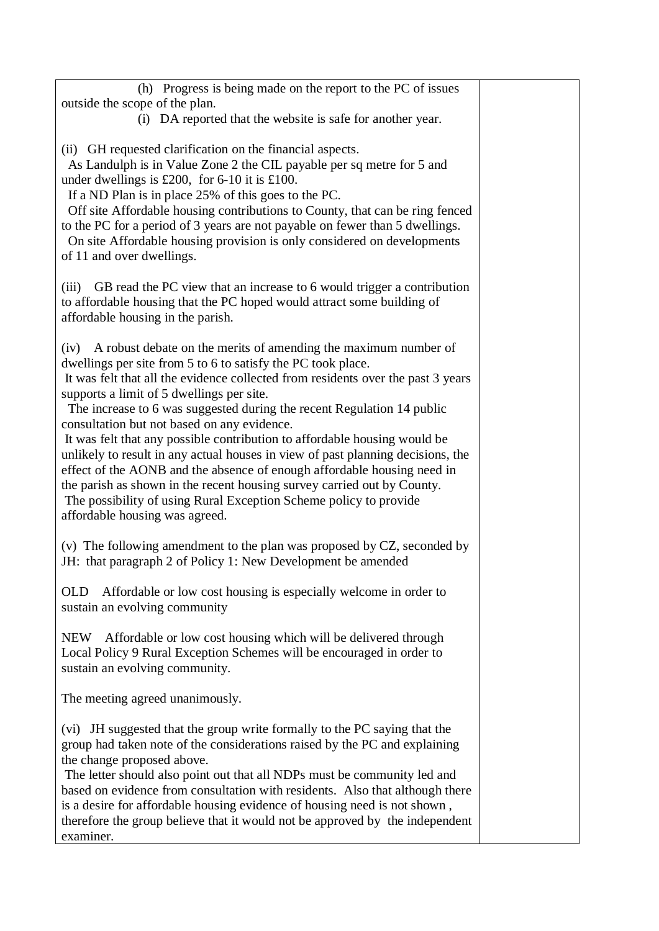| (h) Progress is being made on the report to the PC of issues<br>outside the scope of the plan.<br>(i) DA reported that the website is safe for another year.                                                                                                                                                                                                                                                                                                                                                                |  |
|-----------------------------------------------------------------------------------------------------------------------------------------------------------------------------------------------------------------------------------------------------------------------------------------------------------------------------------------------------------------------------------------------------------------------------------------------------------------------------------------------------------------------------|--|
| (ii) GH requested clarification on the financial aspects.<br>As Landulph is in Value Zone 2 the CIL payable per sq metre for 5 and<br>under dwellings is £200, for 6-10 it is £100.<br>If a ND Plan is in place 25% of this goes to the PC.<br>Off site Affordable housing contributions to County, that can be ring fenced<br>to the PC for a period of 3 years are not payable on fewer than 5 dwellings.<br>On site Affordable housing provision is only considered on developments<br>of 11 and over dwellings.         |  |
| GB read the PC view that an increase to 6 would trigger a contribution<br>(iii)<br>to affordable housing that the PC hoped would attract some building of<br>affordable housing in the parish.                                                                                                                                                                                                                                                                                                                              |  |
| A robust debate on the merits of amending the maximum number of<br>(iv)<br>dwellings per site from 5 to 6 to satisfy the PC took place.<br>It was felt that all the evidence collected from residents over the past 3 years<br>supports a limit of 5 dwellings per site.<br>The increase to 6 was suggested during the recent Regulation 14 public<br>consultation but not based on any evidence.                                                                                                                           |  |
| It was felt that any possible contribution to affordable housing would be<br>unlikely to result in any actual houses in view of past planning decisions, the<br>effect of the AONB and the absence of enough affordable housing need in<br>the parish as shown in the recent housing survey carried out by County.<br>The possibility of using Rural Exception Scheme policy to provide<br>affordable housing was agreed.                                                                                                   |  |
| (v) The following amendment to the plan was proposed by CZ, seconded by<br>JH: that paragraph 2 of Policy 1: New Development be amended                                                                                                                                                                                                                                                                                                                                                                                     |  |
| Affordable or low cost housing is especially welcome in order to<br>OLD.<br>sustain an evolving community                                                                                                                                                                                                                                                                                                                                                                                                                   |  |
| Affordable or low cost housing which will be delivered through<br><b>NEW</b><br>Local Policy 9 Rural Exception Schemes will be encouraged in order to<br>sustain an evolving community.                                                                                                                                                                                                                                                                                                                                     |  |
| The meeting agreed unanimously.                                                                                                                                                                                                                                                                                                                                                                                                                                                                                             |  |
| (vi) JH suggested that the group write formally to the PC saying that the<br>group had taken note of the considerations raised by the PC and explaining<br>the change proposed above.<br>The letter should also point out that all NDPs must be community led and<br>based on evidence from consultation with residents. Also that although there<br>is a desire for affordable housing evidence of housing need is not shown,<br>therefore the group believe that it would not be approved by the independent<br>examiner. |  |